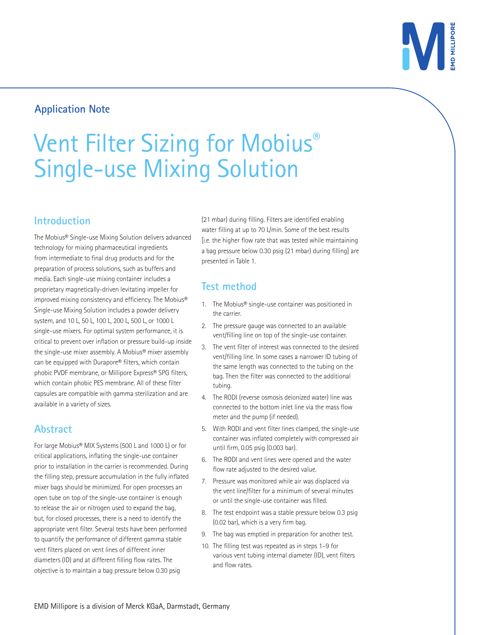

# **Application Note**

# Vent Filter Sizing for Mobius® Single-use Mixing Solution

#### **Introduction**

The Mobius® Single-use Mixing Solution delivers advanced technology for mixing pharmaceutical ingredients from intermediate to final drug products and for the preparation of process solutions, such as buffers and media. Each single-use mixing container includes a proprietary magnetically-driven levitating impeller for improved mixing consistency and efficiency. The Mobius® Single-use Mixing Solution includes a powder delivery system, and 10 L, 50 L, 100 L, 200 L, 500 L, or 1000 L single-use mixers. For optimal system performance, it is critical to prevent over inflation or pressure build-up inside the single-use mixer assembly. A Mobius® mixer assembly can be equipped with Durapore® filters, which contain phobic PVDF membrane, or Millipore Express® SPG filters, which contain phobic PES membrane. All of these filter capsules are compatible with gamma sterilization and are available in a variety of sizes.

# **Abstract**

For large Mobius® MIX Systems (500 L and 1000 L) or for critical applications, inflating the single-use container prior to installation in the carrier is recommended. During the filling step, pressure accumulation in the fully inflated mixer bags should be minimized. For open processes an open tube on top of the single-use container is enough to release the air or nitrogen used to expand the bag, but, for closed processes, there is a need to identify the appropriate vent filter. Several tests have been performed to quantify the performance of different gamma stable vent filters placed on vent lines of different inner diameters (ID) and at different filling flow rates. The objective is to maintain a bag pressure below 0.30 psig

(21 mbar) during filling. Filters are identified enabling water filling at up to 70 L/min. Some of the best results [i.e. the higher flow rate that was tested while maintaining a bag pressure below 0.30 psig (21 mbar) during filling] are presented in Table 1.

# **Test method**

- 1. The Mobius® single-use container was positioned in the carrier.
- 2. The pressure gauge was connected to an available vent/filling line on top of the single-use container.
- 3. The vent filter of interest was connected to the desired vent/filling line. In some cases a narrower ID tubing of the same length was connected to the tubing on the bag. Then the filter was connected to the additional tubing.
- 4. The RODI (reverse osmosis deionized water) line was connected to the bottom inlet line via the mass flow meter and the pump (if needed).
- 5. With RODI and vent filter lines clamped, the single-use container was inflated completely with compressed air until firm, 0.05 psig (0.003 bar).
- 6. The RODI and vent lines were opened and the water flow rate adjusted to the desired value.
- 7. Pressure was monitored while air was displaced via the vent line/filter for a minimum of several minutes or until the single-use container was filled.
- 8. The test endpoint was a stable pressure below 0.3 psig (0.02 bar), which is a very firm bag.
- 9. The bag was emptied in preparation for another test.
- 10. The filling test was repeated as in steps 1–9 for various vent tubing internal diameter (ID), vent filters and flow rates.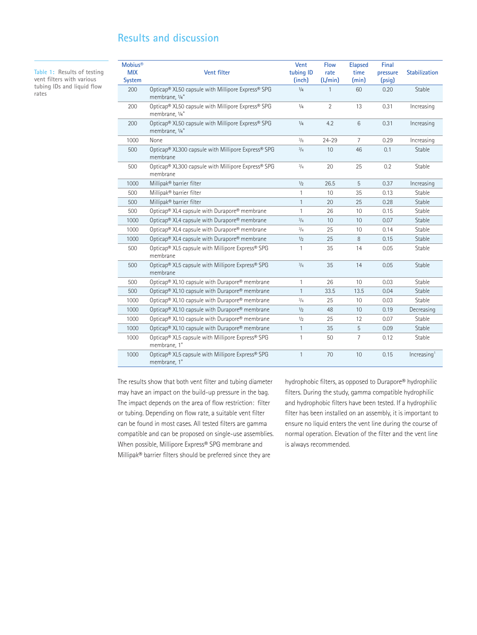#### **Results and discussion**

**Table 1: Results of testing vent filters with various tubing IDs and liquid flow rates**

| <b>Mobius®</b><br><b>MIX</b><br><b>System</b> | Vent filter                                                                          | Vent<br>tubing ID<br>(inch) | <b>Flow</b><br>rate<br>(L/min) | <b>Elapsed</b><br>time<br>(min) | Final<br>pressure<br>(psig) | <b>Stabilization</b>    |
|-----------------------------------------------|--------------------------------------------------------------------------------------|-----------------------------|--------------------------------|---------------------------------|-----------------------------|-------------------------|
| 200                                           | Opticap® XL50 capsule with Millipore Express® SPG<br>membrane, 1/4"                  | 1/4                         | 1                              | 60                              | 0.20                        | Stable                  |
| 200                                           | Opticap® XL50 capsule with Millipore Express® SPG<br>membrane, 1/4"                  | 1/4                         | $\overline{2}$                 | 13                              | 0.31                        | Increasing              |
| 200                                           | Opticap® XL50 capsule with Millipore Express® SPG<br>membrane, 1/4"                  | 1/4                         | 4.2                            | 6                               | 0.31                        | Increasing              |
| 1000                                          | None                                                                                 | 3/8                         | $24 - 29$                      | $\overline{7}$                  | 0.29                        | Increasing              |
| 500                                           | Opticap® XL300 capsule with Millipore Express® SPG<br>membrane                       | $^{3}/_{4}$                 | 10                             | 46                              | 0.1                         | Stable                  |
| 500                                           | Opticap® XL300 capsule with Millipore Express® SPG<br>membrane                       | $^{3/4}$                    | 20                             | 25                              | 0.2                         | Stable                  |
| 1000                                          | Millipak® barrier filter                                                             | 1/2                         | 26.5                           | 5                               | 0.37                        | Increasing              |
| 500                                           | Millipak® barrier filter                                                             | 1                           | 10                             | 35                              | 0.13                        | Stable                  |
| 500                                           | Millipak® barrier filter                                                             | $\mathbf{1}$                | 20                             | 25                              | 0.28                        | Stable                  |
| 500                                           | Opticap <sup>®</sup> XL4 capsule with Durapore <sup>®</sup> membrane                 | 1                           | 26                             | 10                              | 0.15                        | Stable                  |
| 1000                                          | Opticap® XL4 capsule with Durapore® membrane                                         | 3/4                         | 10                             | 10                              | 0.07                        | Stable                  |
| 1000                                          | Opticap <sup>®</sup> XL4 capsule with Durapore <sup>®</sup> membrane                 | $^{3}/_{4}$                 | 25                             | 10                              | 0.14                        | Stable                  |
| 1000                                          | Opticap® XL4 capsule with Durapore® membrane                                         | 1/2                         | 25                             | 8                               | 0.15                        | Stable                  |
| 500                                           | Opticap <sup>®</sup> XL5 capsule with Millipore Express <sup>®</sup> SPG<br>membrane | 1                           | 35                             | 14                              | 0.05                        | Stable                  |
| 500                                           | Opticap® XL5 capsule with Millipore Express® SPG<br>membrane                         | $^{3}/_{4}$                 | 35                             | 14                              | 0.05                        | Stable                  |
| 500                                           | Opticap® XL10 capsule with Durapore® membrane                                        | 1                           | 26                             | 10                              | 0.03                        | Stable                  |
| 500                                           | Opticap® XL10 capsule with Durapore® membrane                                        | $\mathbf{1}$                | 33.5                           | 13.5                            | 0.04                        | Stable                  |
| 1000                                          | Opticap® XL10 capsule with Durapore® membrane                                        | 3/4                         | 25                             | 10                              | 0.03                        | Stable                  |
| 1000                                          | Opticap® XL10 capsule with Durapore® membrane                                        | 1/2                         | 48                             | 10                              | 0.19                        | Decreasing              |
| 1000                                          | Opticap® XL10 capsule with Durapore® membrane                                        | 1/2                         | 25                             | 12                              | 0.07                        | Stable                  |
| 1000                                          | Opticap® XL10 capsule with Durapore® membrane                                        | 1                           | 35                             | 5                               | 0.09                        | Stable                  |
| 1000                                          | Opticap® XL5 capsule with Millipore Express® SPG<br>membrane, 1"                     | 1                           | 50                             | $\overline{7}$                  | 0.12                        | Stable                  |
| 1000                                          | Opticap® XL5 capsule with Millipore Express® SPG<br>membrane, 1"                     | $\mathbf{1}$                | 70                             | 10                              | 0.15                        | Increasing <sup>1</sup> |

The results show that both vent filter and tubing diameter may have an impact on the build-up pressure in the bag. The impact depends on the area of flow restriction: filter or tubing. Depending on flow rate, a suitable vent filter can be found in most cases. All tested filters are gamma compatible and can be proposed on single-use assemblies. When possible, Millipore Express® SPG membrane and Millipak® barrier filters should be preferred since they are

hydrophobic filters, as opposed to Durapore® hydrophilic filters. During the study, gamma compatible hydrophilic and hydrophobic filters have been tested. If a hydrophilic filter has been installed on an assembly, it is important to ensure no liquid enters the vent line during the course of normal operation. Elevation of the filter and the vent line is always recommended.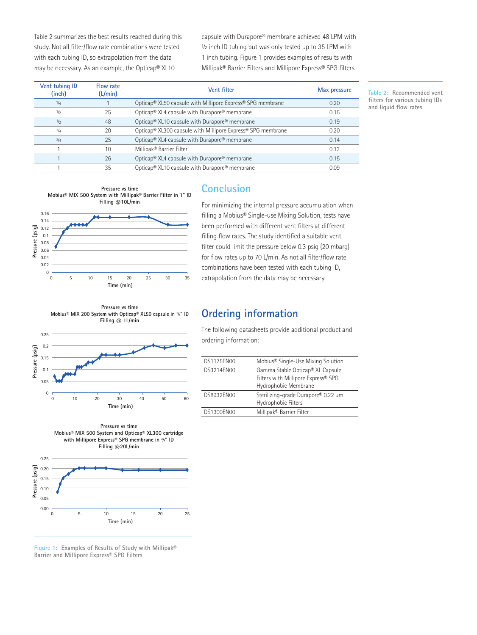Table 2 summarizes the best results reached during this study. Not all filter/flow rate combinations were tested with each tubing ID, so extrapolation from the data may be necessary. As an example, the Opticap® XL10

capsule with Durapore® membrane achieved 48 LPM with 1/2 inch ID tubing but was only tested up to 35 LPM with 1 inch tubing. Figure 1 provides examples of results with Millipak® Barrier Filters and Millipore Express® SPG filters.

| <b>Vent tubing ID</b><br>(inch) | Flow rate<br>(L/min) | Vent filter                                                                         | Max pressure |
|---------------------------------|----------------------|-------------------------------------------------------------------------------------|--------------|
| 1/4                             |                      | Opticap <sup>®</sup> XL50 capsule with Millipore Express <sup>®</sup> SPG membrane  | 0.20         |
| 1/2                             | 25                   | Opticap <sup>®</sup> XL4 capsule with Durapore <sup>®</sup> membrane                | 0.15         |
| 1/2                             | 48                   | Opticap® XL10 capsule with Durapore® membrane                                       | 0.19         |
| 3/4                             | 20                   | Opticap <sup>®</sup> XL300 capsule with Millipore Express <sup>®</sup> SPG membrane | 0.20         |
| $^{3}/_{4}$                     | 25                   | Opticap <sup>®</sup> XL4 capsule with Durapore <sup>®</sup> membrane                | 0.14         |
|                                 | 10                   | Millipak® Barrier Filter                                                            | 0.13         |
|                                 | 26                   | Opticap <sup>®</sup> XL4 capsule with Durapore <sup>®</sup> membrane                | 0.15         |
|                                 | 35                   | Opticap <sup>®</sup> XL10 capsule with Durapore <sup>®</sup> membrane               | 0.09         |

**Table 2: Recommended vent filters for various tubing IDs and liquid flow rates**





#### **Conclusion**

For minimizing the internal pressure accumulation when filling a Mobius® Single-use Mixing Solution, tests have been performed with different vent filters at different filling flow rates. The study identified a suitable vent filter could limit the pressure below 0.3 psig (20 mbarg) for flow rates up to 70 L/min. As not all filter/flow rate combinations have been tested with each tubing ID, extrapolation from the data may be necessary.

**Pressure vs time Mobius® MIX 200 System with Opticap® XL50 capsule in 1 ⁄4" ID Filling @ 1L/min**







**Figure 1: Examples of Results of Study with Millipak® Barrier and Millipore Express® SPG Filters**

### **Ordering information**

The following datasheets provide additional product and ordering information:

| Mobius <sup>®</sup> Single-Use Mixing Solution                                                  |
|-------------------------------------------------------------------------------------------------|
| Gamma Stable Opticap® XL Capsule<br>Filters with Millipore Express® SPG<br>Hydrophobic Membrane |
| Sterilizing-grade Durapore® 0.22 um<br>Hydrophobic Filters                                      |
| Millipak® Barrier Filter                                                                        |
|                                                                                                 |